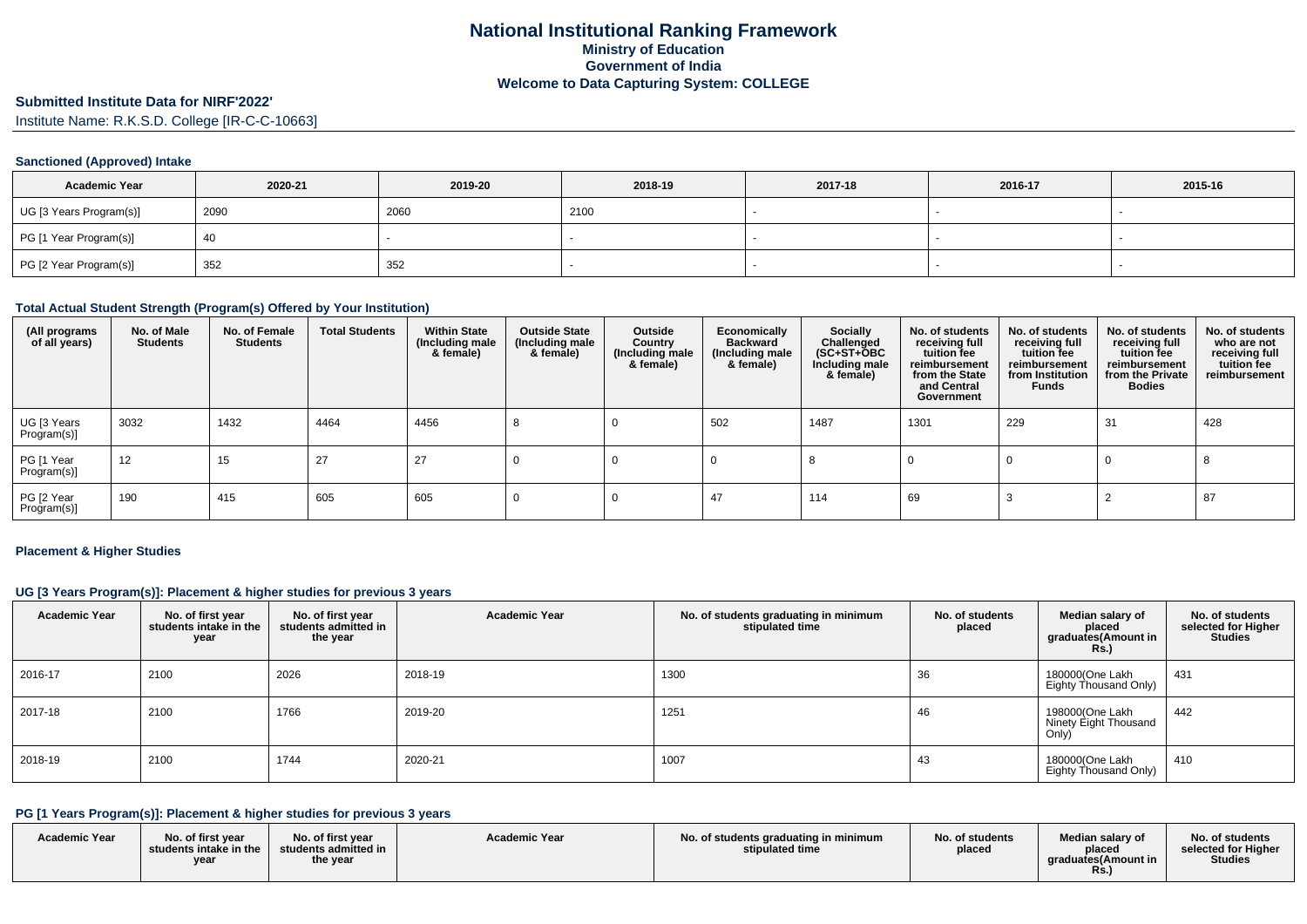# **Submitted Institute Data for NIRF'2022'**

Institute Name: R.K.S.D. College [IR-C-C-10663]

### **Sanctioned (Approved) Intake**

| <b>Academic Year</b>    | 2020-21 | 2019-20 | 2018-19 | 2017-18 | 2016-17 | 2015-16 |
|-------------------------|---------|---------|---------|---------|---------|---------|
| UG [3 Years Program(s)] | 2090    | 2060    | 2100    |         |         |         |
| PG [1 Year Program(s)]  | 40      |         |         |         |         |         |
| PG [2 Year Program(s)]  | 352     | 352     |         |         |         |         |

#### **Total Actual Student Strength (Program(s) Offered by Your Institution)**

| (All programs<br>of all years) | No. of Male<br><b>Students</b> | No. of Female<br><b>Students</b> | <b>Total Students</b> | <b>Within State</b><br>(Including male<br>& female) | <b>Outside State</b><br>(Including male<br>& female) | Outside<br>Country<br>(Including male<br>& female) | Economically<br><b>Backward</b><br>(Including male<br>& female) | Socially<br>Challenged<br>$(SC+ST+\overline{O}BC)$<br>Including male<br>& female) | No. of students<br>receiving full<br>tuition fee<br>reimbursement<br>from the State<br>and Central<br>Government | No. of students<br>receiving full<br>tuition fee<br>reimbursement<br>from Institution<br><b>Funds</b> | No. of students<br>receiving full<br>tuition fee<br>reimbursement<br>from the Private<br><b>Bodies</b> | No. of students<br>who are not<br>receiving full<br>tuition fee<br>reimbursement |
|--------------------------------|--------------------------------|----------------------------------|-----------------------|-----------------------------------------------------|------------------------------------------------------|----------------------------------------------------|-----------------------------------------------------------------|-----------------------------------------------------------------------------------|------------------------------------------------------------------------------------------------------------------|-------------------------------------------------------------------------------------------------------|--------------------------------------------------------------------------------------------------------|----------------------------------------------------------------------------------|
| UG [3 Years<br>Program(s)]     | 3032                           | 1432                             | 4464                  | 4456                                                |                                                      |                                                    | 502                                                             | 1487                                                                              | 1301                                                                                                             | 229                                                                                                   | 31                                                                                                     | 428                                                                              |
| PG [1 Year<br>Program(s)]      | 12                             | 15                               | 27                    | 27                                                  |                                                      |                                                    |                                                                 |                                                                                   |                                                                                                                  |                                                                                                       |                                                                                                        |                                                                                  |
| PG [2 Year<br>Program(s)]      | 190                            | 415                              | 605                   | 605                                                 |                                                      |                                                    | 47                                                              | 114                                                                               | 69                                                                                                               |                                                                                                       |                                                                                                        | 87                                                                               |

#### **Placement & Higher Studies**

#### **UG [3 Years Program(s)]: Placement & higher studies for previous 3 years**

| <b>Academic Year</b> | No. of first year<br>students intake in the<br>year | No. of first year<br>students admitted in<br>the year | <b>Academic Year</b> | No. of students graduating in minimum<br>stipulated time | No. of students<br>placed | Median salary of<br>placed<br>graduates(Amount in<br><b>Rs.)</b> | No. of students<br>selected for Higher<br><b>Studies</b> |
|----------------------|-----------------------------------------------------|-------------------------------------------------------|----------------------|----------------------------------------------------------|---------------------------|------------------------------------------------------------------|----------------------------------------------------------|
| 2016-17              | 2100                                                | 2026                                                  | 2018-19              | 1300                                                     | 36                        | 180000(One Lakh<br>Eighty Thousand Only)                         | 431                                                      |
| 2017-18              | 2100                                                | 1766                                                  | 2019-20              | 1251                                                     | 46                        | 198000(One Lakh<br>Ninety Eight Thousand<br>Only)                | 442                                                      |
| 2018-19              | 2100                                                | 1744                                                  | 2020-21              | 1007                                                     | 43                        | 180000(One Lakh<br>Eighty Thousand Only)                         | 410                                                      |

### **PG [1 Years Program(s)]: Placement & higher studies for previous 3 years**

| <b>Academic Year</b> | No. of first vear<br>students intake in the<br>year | No. of first year<br>$\blacksquare$ students admitted in $\blacksquare$<br>the year | <b>Academic Year</b> | No. of students graduating in minimum<br>stipulated time | No. of students<br>placed | Median salary of<br>placed<br>araduates(Amount in<br>Rs. | No. of students<br>selected for Higher<br><b>Studies</b> |
|----------------------|-----------------------------------------------------|-------------------------------------------------------------------------------------|----------------------|----------------------------------------------------------|---------------------------|----------------------------------------------------------|----------------------------------------------------------|
|----------------------|-----------------------------------------------------|-------------------------------------------------------------------------------------|----------------------|----------------------------------------------------------|---------------------------|----------------------------------------------------------|----------------------------------------------------------|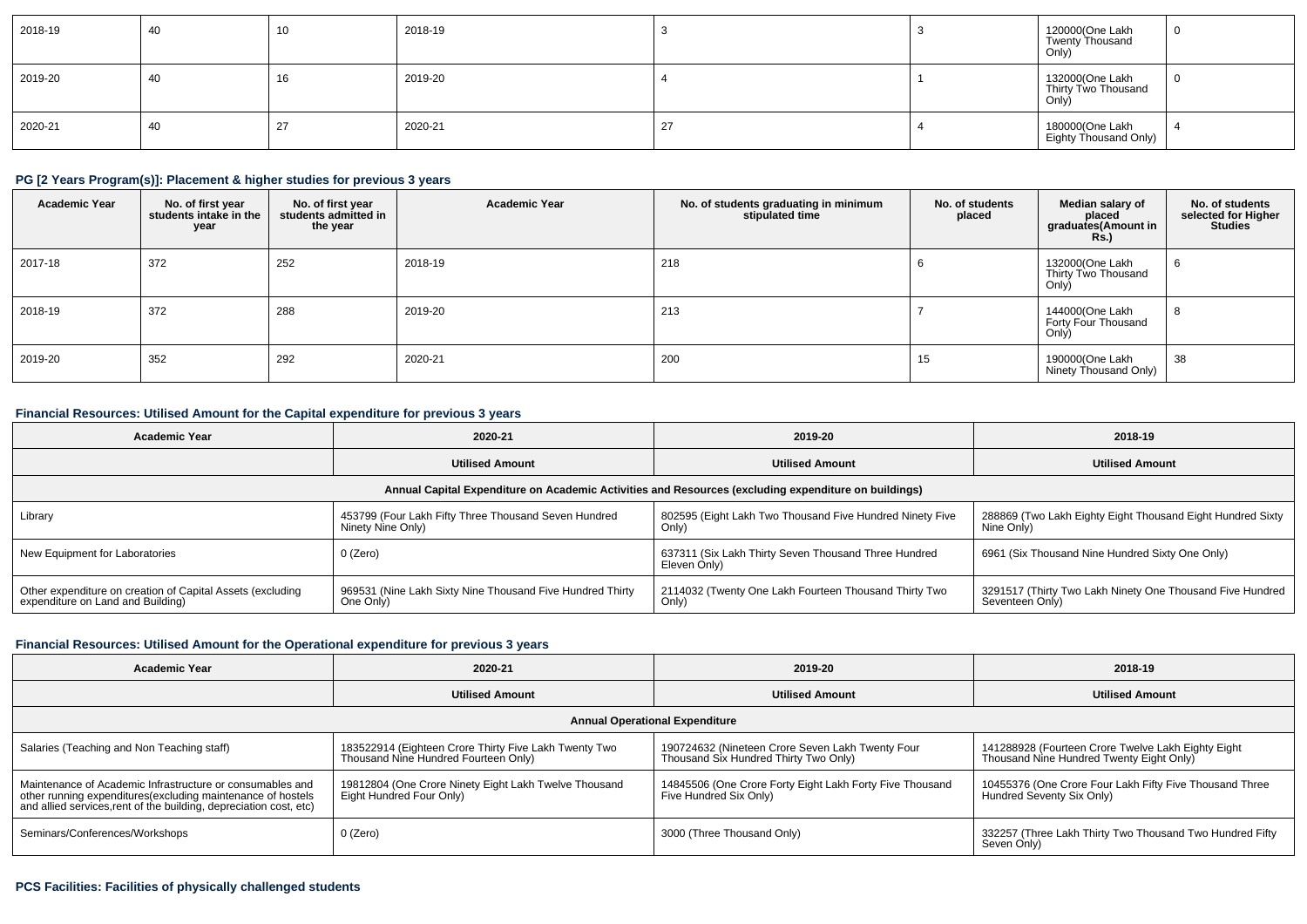| 2018-19 | 40 | 10 | 2018-19 |    | 120000(One Lakh<br>Twenty Thousand<br>Only)     | <b>U</b> |
|---------|----|----|---------|----|-------------------------------------------------|----------|
| 2019-20 | 40 | 16 | 2019-20 |    | 132000(One Lakh<br>Thirty Two Thousand<br>Only) | - U      |
| 2020-21 | 40 | 27 | 2020-21 | 27 | 180000(One Lakh<br>Eighty Thousand Only)        | -4       |

## **PG [2 Years Program(s)]: Placement & higher studies for previous 3 years**

| <b>Academic Year</b> | No. of first year<br>students intake in the<br>year | No. of first year<br>students admitted in<br>the year | <b>Academic Year</b> | No. of students graduating in minimum<br>stipulated time | No. of students<br>placed | Median salary of<br>placed<br>graduates(Amount in<br><b>Rs.)</b> | No. of students<br>selected for Higher<br><b>Studies</b> |
|----------------------|-----------------------------------------------------|-------------------------------------------------------|----------------------|----------------------------------------------------------|---------------------------|------------------------------------------------------------------|----------------------------------------------------------|
| 2017-18              | 372                                                 | 252                                                   | 2018-19              | 218                                                      |                           | 132000(One Lakh<br>Thirty Two Thousand<br>Only)                  | 6                                                        |
| 2018-19              | 372                                                 | 288                                                   | 2019-20              | 213                                                      |                           | 144000(One Lakh<br>Forty Four Thousand<br>Only)                  | 8                                                        |
| 2019-20              | 352                                                 | 292                                                   | 2020-21              | 200                                                      | 15                        | 190000(One Lakh<br>Ninety Thousand Only)                         | 38                                                       |

### **Financial Resources: Utilised Amount for the Capital expenditure for previous 3 years**

| <b>Academic Year</b>                                                                                 | 2020-21                                                                   | 2019-20                                                              | 2018-19                                                                      |  |  |  |  |  |  |  |  |
|------------------------------------------------------------------------------------------------------|---------------------------------------------------------------------------|----------------------------------------------------------------------|------------------------------------------------------------------------------|--|--|--|--|--|--|--|--|
|                                                                                                      | <b>Utilised Amount</b>                                                    | <b>Utilised Amount</b>                                               | <b>Utilised Amount</b>                                                       |  |  |  |  |  |  |  |  |
| Annual Capital Expenditure on Academic Activities and Resources (excluding expenditure on buildings) |                                                                           |                                                                      |                                                                              |  |  |  |  |  |  |  |  |
| Library                                                                                              | 453799 (Four Lakh Fifty Three Thousand Seven Hundred<br>Ninety Nine Only) | 802595 (Eight Lakh Two Thousand Five Hundred Ninety Five<br>Only)    | 288869 (Two Lakh Eighty Eight Thousand Eight Hundred Sixty<br>  Nine Only)   |  |  |  |  |  |  |  |  |
| New Equipment for Laboratories                                                                       | 0 (Zero)                                                                  | 637311 (Six Lakh Thirty Seven Thousand Three Hundred<br>Eleven Only) | 6961 (Six Thousand Nine Hundred Sixty One Only)                              |  |  |  |  |  |  |  |  |
| Other expenditure on creation of Capital Assets (excluding<br>expenditure on Land and Building)      | 969531 (Nine Lakh Sixty Nine Thousand Five Hundred Thirty<br>One Only     | 2114032 (Twenty One Lakh Fourteen Thousand Thirty Two<br>Only)       | 3291517 (Thirty Two Lakh Ninety One Thousand Five Hundred<br>Seventeen Only) |  |  |  |  |  |  |  |  |

## **Financial Resources: Utilised Amount for the Operational expenditure for previous 3 years**

| <b>Academic Year</b>                                                                                                                                                                           | 2020-21                                                                                       | 2019-20                                                                                   | 2018-19                                                                                        |  |  |  |  |  |  |  |
|------------------------------------------------------------------------------------------------------------------------------------------------------------------------------------------------|-----------------------------------------------------------------------------------------------|-------------------------------------------------------------------------------------------|------------------------------------------------------------------------------------------------|--|--|--|--|--|--|--|
|                                                                                                                                                                                                | <b>Utilised Amount</b>                                                                        |                                                                                           | <b>Utilised Amount</b>                                                                         |  |  |  |  |  |  |  |
| <b>Annual Operational Expenditure</b>                                                                                                                                                          |                                                                                               |                                                                                           |                                                                                                |  |  |  |  |  |  |  |
| Salaries (Teaching and Non Teaching staff)                                                                                                                                                     | 183522914 (Eighteen Crore Thirty Five Lakh Twenty Two<br>Thousand Nine Hundred Fourteen Only) | 190724632 (Nineteen Crore Seven Lakh Twenty Four<br>Thousand Six Hundred Thirty Two Only) | 141288928 (Fourteen Crore Twelve Lakh Eighty Eight<br>Thousand Nine Hundred Twenty Eight Only) |  |  |  |  |  |  |  |
| Maintenance of Academic Infrastructure or consumables and<br>other running expenditures(excluding maintenance of hostels<br>and allied services, rent of the building, depreciation cost, etc) | 19812804 (One Crore Ninety Eight Lakh Twelve Thousand<br>Eight Hundred Four Only)             | 14845506 (One Crore Forty Eight Lakh Forty Five Thousand<br>Five Hundred Six Only)        | 10455376 (One Crore Four Lakh Fifty Five Thousand Three<br>Hundred Seventy Six Only)           |  |  |  |  |  |  |  |
| Seminars/Conferences/Workshops                                                                                                                                                                 | 0 (Zero)                                                                                      | 3000 (Three Thousand Only)                                                                | 332257 (Three Lakh Thirty Two Thousand Two Hundred Fifty<br>Seven Only)                        |  |  |  |  |  |  |  |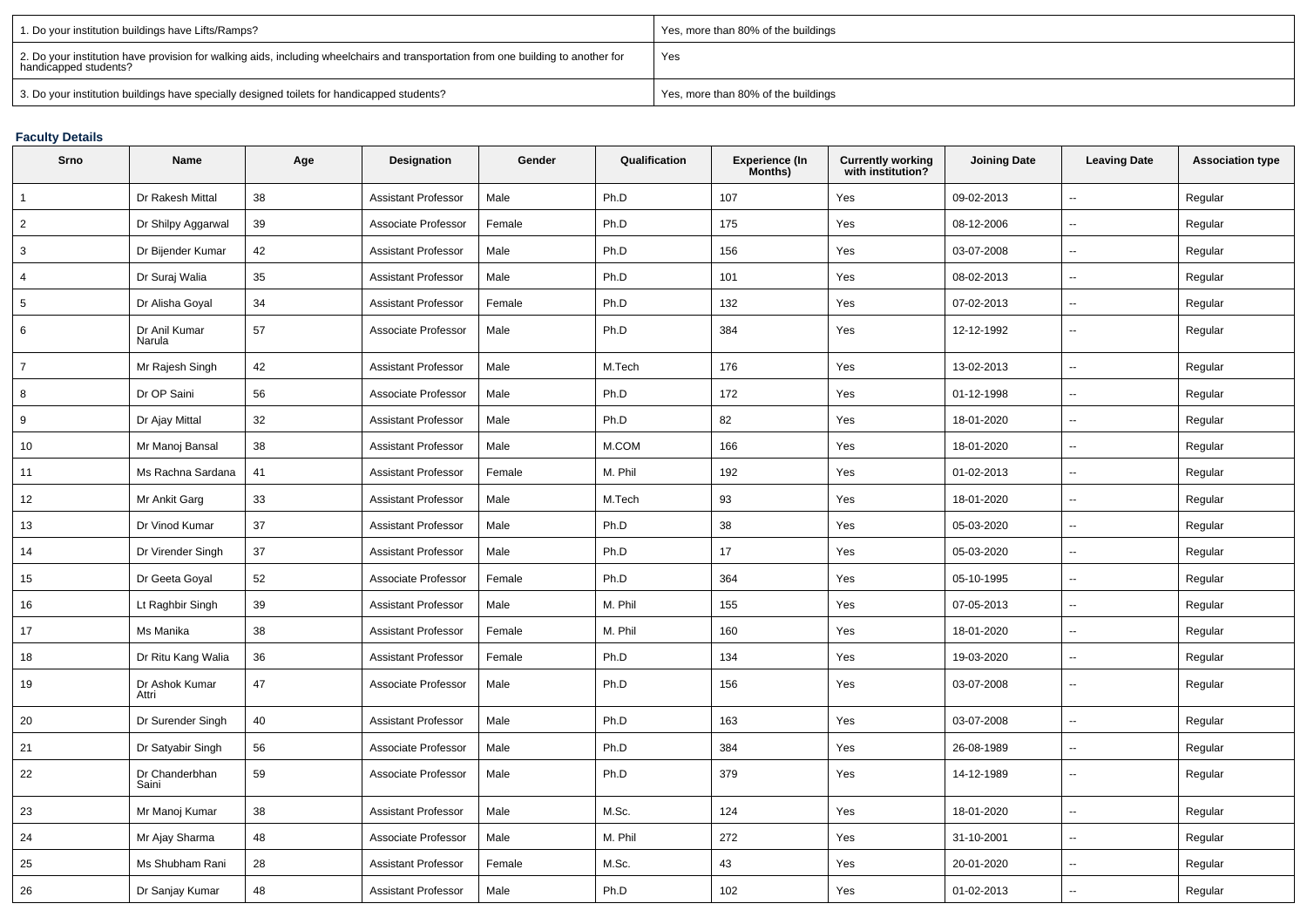| 1. Do your institution buildings have Lifts/Ramps?                                                                                                         | Yes, more than 80% of the buildings |
|------------------------------------------------------------------------------------------------------------------------------------------------------------|-------------------------------------|
| 2. Do your institution have provision for walking aids, including wheelchairs and transportation from one building to another for<br>handicapped students? | Yes                                 |
| 3. Do your institution buildings have specially designed toilets for handicapped students?                                                                 | Yes, more than 80% of the buildings |

## **Faculty Details**

| Srno           | Name                    | Age | <b>Designation</b>         | Gender | Qualification | <b>Experience (In</b><br>Months) | <b>Currently working</b><br>with institution? | <b>Joining Date</b> | <b>Leaving Date</b>      | <b>Association type</b> |
|----------------|-------------------------|-----|----------------------------|--------|---------------|----------------------------------|-----------------------------------------------|---------------------|--------------------------|-------------------------|
|                | Dr Rakesh Mittal        | 38  | <b>Assistant Professor</b> | Male   | Ph.D          | 107                              | Yes                                           | 09-02-2013          | L.                       | Regular                 |
| $\overline{2}$ | Dr Shilpy Aggarwal      | 39  | Associate Professor        | Female | Ph.D          | 175                              | Yes                                           | 08-12-2006          | $\sim$                   | Regular                 |
| 3              | Dr Bijender Kumar       | 42  | <b>Assistant Professor</b> | Male   | Ph.D          | 156                              | Yes                                           | 03-07-2008          | $\overline{\phantom{a}}$ | Regular                 |
| 4              | Dr Suraj Walia          | 35  | <b>Assistant Professor</b> | Male   | Ph.D          | 101                              | Yes                                           | 08-02-2013          | $\sim$                   | Regular                 |
| 5              | Dr Alisha Goyal         | 34  | <b>Assistant Professor</b> | Female | Ph.D          | 132                              | Yes                                           | 07-02-2013          | $\overline{\phantom{a}}$ | Regular                 |
| 6              | Dr Anil Kumar<br>Narula | 57  | Associate Professor        | Male   | Ph.D          | 384                              | Yes                                           | 12-12-1992          | $\sim$                   | Regular                 |
| $\overline{7}$ | Mr Rajesh Singh         | 42  | <b>Assistant Professor</b> | Male   | M.Tech        | 176                              | Yes                                           | 13-02-2013          | $\overline{\phantom{a}}$ | Regular                 |
| 8              | Dr OP Saini             | 56  | Associate Professor        | Male   | Ph.D          | 172                              | Yes                                           | 01-12-1998          | $\overline{\phantom{a}}$ | Regular                 |
| 9              | Dr Ajay Mittal          | 32  | <b>Assistant Professor</b> | Male   | Ph.D          | 82                               | Yes                                           | 18-01-2020          | $\sim$                   | Regular                 |
| 10             | Mr Manoj Bansal         | 38  | <b>Assistant Professor</b> | Male   | M.COM         | 166                              | Yes                                           | 18-01-2020          | $\sim$                   | Regular                 |
| 11             | Ms Rachna Sardana       | 41  | <b>Assistant Professor</b> | Female | M. Phil       | 192                              | Yes                                           | 01-02-2013          | ÷.                       | Regular                 |
| 12             | Mr Ankit Garg           | 33  | <b>Assistant Professor</b> | Male   | M.Tech        | 93                               | Yes                                           | 18-01-2020          | $\overline{\phantom{a}}$ | Regular                 |
| 13             | Dr Vinod Kumar          | 37  | <b>Assistant Professor</b> | Male   | Ph.D          | 38                               | Yes                                           | 05-03-2020          | $\overline{\phantom{a}}$ | Regular                 |
| 14             | Dr Virender Singh       | 37  | <b>Assistant Professor</b> | Male   | Ph.D          | 17                               | Yes                                           | 05-03-2020          | ÷.                       | Regular                 |
| 15             | Dr Geeta Goyal          | 52  | Associate Professor        | Female | Ph.D          | 364                              | Yes                                           | 05-10-1995          | $\sim$                   | Regular                 |
| 16             | Lt Raghbir Singh        | 39  | <b>Assistant Professor</b> | Male   | M. Phil       | 155                              | Yes                                           | 07-05-2013          | $\overline{\phantom{a}}$ | Regular                 |
| 17             | Ms Manika               | 38  | <b>Assistant Professor</b> | Female | M. Phil       | 160                              | Yes                                           | 18-01-2020          | $\overline{\phantom{a}}$ | Regular                 |
| 18             | Dr Ritu Kang Walia      | 36  | <b>Assistant Professor</b> | Female | Ph.D          | 134                              | Yes                                           | 19-03-2020          | $\overline{\phantom{a}}$ | Regular                 |
| 19             | Dr Ashok Kumar<br>Attri | 47  | Associate Professor        | Male   | Ph.D          | 156                              | Yes                                           | 03-07-2008          | $\sim$                   | Regular                 |
| 20             | Dr Surender Singh       | 40  | <b>Assistant Professor</b> | Male   | Ph.D          | 163                              | Yes                                           | 03-07-2008          | $\overline{\phantom{a}}$ | Regular                 |
| 21             | Dr Satyabir Singh       | 56  | Associate Professor        | Male   | Ph.D          | 384                              | Yes                                           | 26-08-1989          | $\mathbf{u}$             | Regular                 |
| 22             | Dr Chanderbhan<br>Saini | 59  | Associate Professor        | Male   | Ph.D          | 379                              | Yes                                           | 14-12-1989          | $\overline{\phantom{a}}$ | Regular                 |
| 23             | Mr Manoj Kumar          | 38  | <b>Assistant Professor</b> | Male   | M.Sc.         | 124                              | Yes                                           | 18-01-2020          | ц.                       | Regular                 |
| 24             | Mr Ajay Sharma          | 48  | Associate Professor        | Male   | M. Phil       | 272                              | Yes                                           | 31-10-2001          | $\overline{\phantom{a}}$ | Regular                 |
| 25             | Ms Shubham Rani         | 28  | <b>Assistant Professor</b> | Female | M.Sc.         | 43                               | Yes                                           | 20-01-2020          | ц.                       | Regular                 |
| 26             | Dr Sanjay Kumar         | 48  | <b>Assistant Professor</b> | Male   | Ph.D          | 102                              | Yes                                           | 01-02-2013          | ÷.                       | Regular                 |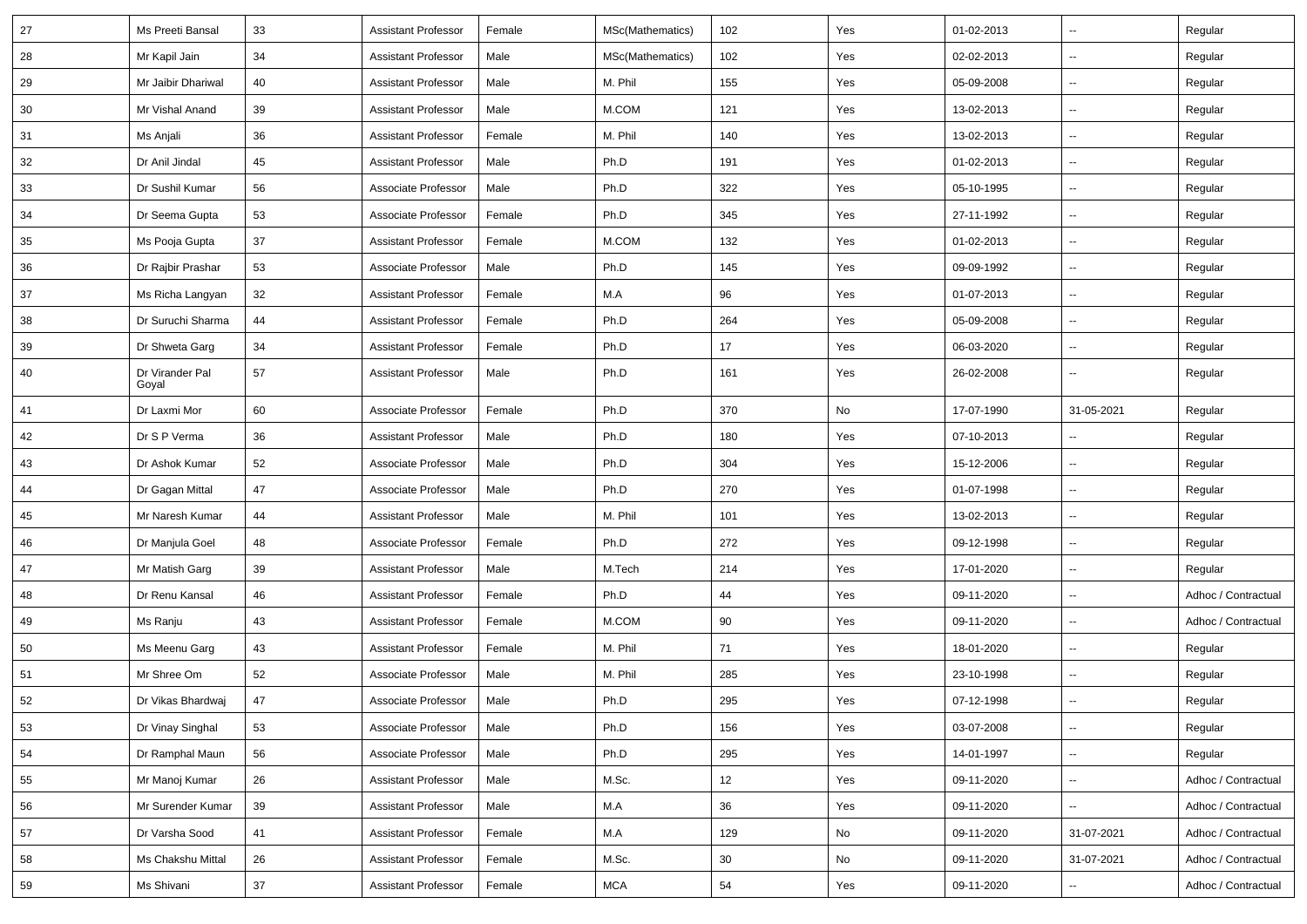| 27 | Ms Preeti Bansal         | 33     | <b>Assistant Professor</b> | Female | MSc(Mathematics) | 102 | Yes | 01-02-2013 | $\sim$                   | Regular             |
|----|--------------------------|--------|----------------------------|--------|------------------|-----|-----|------------|--------------------------|---------------------|
| 28 | Mr Kapil Jain            | 34     | <b>Assistant Professor</b> | Male   | MSc(Mathematics) | 102 | Yes | 02-02-2013 | Ξ.                       | Regular             |
| 29 | Mr Jaibir Dhariwal       | 40     | <b>Assistant Professor</b> | Male   | M. Phil          | 155 | Yes | 05-09-2008 | $\sim$                   | Regular             |
| 30 | Mr Vishal Anand          | 39     | <b>Assistant Professor</b> | Male   | M.COM            | 121 | Yes | 13-02-2013 | --                       | Regular             |
| 31 | Ms Anjali                | 36     | <b>Assistant Professor</b> | Female | M. Phil          | 140 | Yes | 13-02-2013 | $\overline{\phantom{a}}$ | Regular             |
| 32 | Dr Anil Jindal           | 45     | <b>Assistant Professor</b> | Male   | Ph.D             | 191 | Yes | 01-02-2013 | $\sim$                   | Regular             |
| 33 | Dr Sushil Kumar          | 56     | Associate Professor        | Male   | Ph.D             | 322 | Yes | 05-10-1995 | $\sim$                   | Regular             |
| 34 | Dr Seema Gupta           | 53     | Associate Professor        | Female | Ph.D             | 345 | Yes | 27-11-1992 | $\sim$                   | Regular             |
| 35 | Ms Pooja Gupta           | 37     | <b>Assistant Professor</b> | Female | M.COM            | 132 | Yes | 01-02-2013 | $\sim$                   | Regular             |
| 36 | Dr Rajbir Prashar        | 53     | Associate Professor        | Male   | Ph.D             | 145 | Yes | 09-09-1992 | $\overline{\phantom{a}}$ | Regular             |
| 37 | Ms Richa Langyan         | 32     | <b>Assistant Professor</b> | Female | M.A              | 96  | Yes | 01-07-2013 | $\overline{\phantom{a}}$ | Regular             |
| 38 | Dr Suruchi Sharma        | 44     | <b>Assistant Professor</b> | Female | Ph.D             | 264 | Yes | 05-09-2008 | $\sim$                   | Regular             |
| 39 | Dr Shweta Garg           | 34     | <b>Assistant Professor</b> | Female | Ph.D             | 17  | Yes | 06-03-2020 | $\overline{\phantom{a}}$ | Regular             |
| 40 | Dr Virander Pal<br>Goyal | 57     | <b>Assistant Professor</b> | Male   | Ph.D             | 161 | Yes | 26-02-2008 | Ξ.                       | Regular             |
| 41 | Dr Laxmi Mor             | 60     | Associate Professor        | Female | Ph.D             | 370 | No  | 17-07-1990 | 31-05-2021               | Regular             |
| 42 | Dr S P Verma             | 36     | <b>Assistant Professor</b> | Male   | Ph.D             | 180 | Yes | 07-10-2013 | $\sim$                   | Regular             |
| 43 | Dr Ashok Kumar           | 52     | Associate Professor        | Male   | Ph.D             | 304 | Yes | 15-12-2006 | $\sim$                   | Regular             |
| 44 | Dr Gagan Mittal          | 47     | Associate Professor        | Male   | Ph.D             | 270 | Yes | 01-07-1998 | $\overline{\phantom{a}}$ | Regular             |
| 45 | Mr Naresh Kumar          | 44     | <b>Assistant Professor</b> | Male   | M. Phil          | 101 | Yes | 13-02-2013 | ш,                       | Regular             |
| 46 | Dr Manjula Goel          | 48     | Associate Professor        | Female | Ph.D             | 272 | Yes | 09-12-1998 | $\sim$                   | Regular             |
| 47 | Mr Matish Garg           | 39     | <b>Assistant Professor</b> | Male   | M.Tech           | 214 | Yes | 17-01-2020 | Ξ.                       | Regular             |
| 48 | Dr Renu Kansal           | 46     | <b>Assistant Professor</b> | Female | Ph.D             | 44  | Yes | 09-11-2020 | --                       | Adhoc / Contractual |
| 49 | Ms Ranju                 | 43     | <b>Assistant Professor</b> | Female | M.COM            | 90  | Yes | 09-11-2020 | $\mathbf{u}$             | Adhoc / Contractual |
| 50 | Ms Meenu Garg            | 43     | <b>Assistant Professor</b> | Female | M. Phil          | 71  | Yes | 18-01-2020 | $\overline{\phantom{a}}$ | Regular             |
| 51 | Mr Shree Om              | 52     | Associate Professor        | Male   | M. Phil          | 285 | Yes | 23-10-1998 | ш,                       | Regular             |
| 52 | Dr Vikas Bhardwaj        | 47     | Associate Professor        | Male   | Ph.D             | 295 | Yes | 07-12-1998 | ÷,                       | Regular             |
| 53 | Dr Vinay Singhal         | 53     | Associate Professor        | Male   | Ph.D             | 156 | Yes | 03-07-2008 | $\overline{\phantom{a}}$ | Regular             |
| 54 | Dr Ramphal Maun          | 56     | Associate Professor        | Male   | Ph.D             | 295 | Yes | 14-01-1997 | Щ,                       | Regular             |
| 55 | Mr Manoj Kumar           | 26     | <b>Assistant Professor</b> | Male   | M.Sc.            | 12  | Yes | 09-11-2020 | $\overline{\phantom{a}}$ | Adhoc / Contractual |
| 56 | Mr Surender Kumar        | 39     | <b>Assistant Professor</b> | Male   | M.A              | 36  | Yes | 09-11-2020 |                          | Adhoc / Contractual |
| 57 | Dr Varsha Sood           | 41     | <b>Assistant Professor</b> | Female | M.A              | 129 | No  | 09-11-2020 | 31-07-2021               | Adhoc / Contractual |
| 58 | Ms Chakshu Mittal        | 26     | <b>Assistant Professor</b> | Female | M.Sc.            | 30  | No  | 09-11-2020 | 31-07-2021               | Adhoc / Contractual |
| 59 | Ms Shivani               | $37\,$ | <b>Assistant Professor</b> | Female | <b>MCA</b>       | 54  | Yes | 09-11-2020 | $\overline{\phantom{a}}$ | Adhoc / Contractual |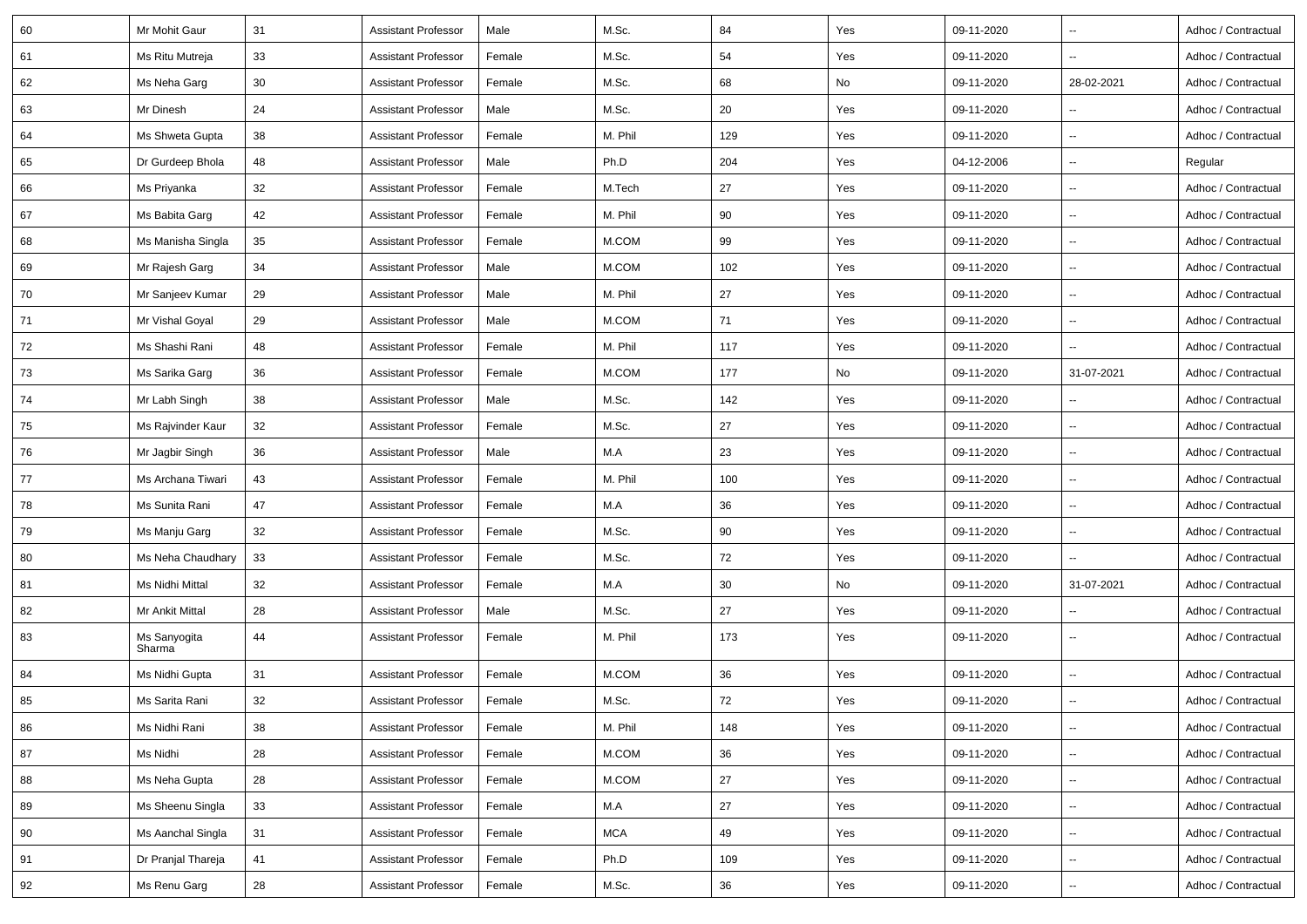| 60 | Mr Mohit Gaur                       | 31 | <b>Assistant Professor</b> | Male   | M.Sc.      | 84  | Yes | 09-11-2020 | $\overline{\phantom{a}}$ | Adhoc / Contractual |
|----|-------------------------------------|----|----------------------------|--------|------------|-----|-----|------------|--------------------------|---------------------|
| 61 | Ms Ritu Mutreja                     | 33 | Assistant Professor        | Female | M.Sc.      | 54  | Yes | 09-11-2020 | $\overline{\phantom{a}}$ | Adhoc / Contractual |
| 62 | Ms Neha Garg                        | 30 | Assistant Professor        | Female | M.Sc.      | 68  | No  | 09-11-2020 | 28-02-2021               | Adhoc / Contractual |
| 63 | Mr Dinesh                           | 24 | Assistant Professor        | Male   | M.Sc.      | 20  | Yes | 09-11-2020 | $\overline{\phantom{a}}$ | Adhoc / Contractual |
| 64 | Ms Shweta Gupta                     | 38 | Assistant Professor        | Female | M. Phil    | 129 | Yes | 09-11-2020 |                          | Adhoc / Contractual |
| 65 | Dr Gurdeep Bhola                    | 48 | Assistant Professor        | Male   | Ph.D       | 204 | Yes | 04-12-2006 |                          | Regular             |
| 66 | Ms Priyanka                         | 32 | <b>Assistant Professor</b> | Female | M.Tech     | 27  | Yes | 09-11-2020 | $\overline{\phantom{a}}$ | Adhoc / Contractual |
| 67 | Ms Babita Garg                      | 42 | <b>Assistant Professor</b> | Female | M. Phil    | 90  | Yes | 09-11-2020 | $\overline{\phantom{a}}$ | Adhoc / Contractual |
| 68 | Ms Manisha Singla                   | 35 | Assistant Professor        | Female | M.COM      | 99  | Yes | 09-11-2020 | $\overline{\phantom{a}}$ | Adhoc / Contractual |
| 69 | Mr Rajesh Garg                      | 34 | Assistant Professor        | Male   | M.COM      | 102 | Yes | 09-11-2020 | $\overline{\phantom{a}}$ | Adhoc / Contractual |
| 70 | Mr Sanjeev Kumar                    | 29 | <b>Assistant Professor</b> | Male   | M. Phil    | 27  | Yes | 09-11-2020 |                          | Adhoc / Contractual |
| 71 | Mr Vishal Goyal                     | 29 | Assistant Professor        | Male   | M.COM      | 71  | Yes | 09-11-2020 |                          | Adhoc / Contractual |
| 72 | Ms Shashi Rani                      | 48 | <b>Assistant Professor</b> | Female | M. Phil    | 117 | Yes | 09-11-2020 | $\overline{\phantom{a}}$ | Adhoc / Contractual |
| 73 | Ms Sarika Garg                      | 36 | Assistant Professor        | Female | M.COM      | 177 | No  | 09-11-2020 | 31-07-2021               | Adhoc / Contractual |
| 74 | Mr Labh Singh                       | 38 | Assistant Professor        | Male   | M.Sc.      | 142 | Yes | 09-11-2020 |                          | Adhoc / Contractual |
| 75 | Ms Rajvinder Kaur                   | 32 | <b>Assistant Professor</b> | Female | M.Sc.      | 27  | Yes | 09-11-2020 | $\overline{\phantom{a}}$ | Adhoc / Contractual |
| 76 | Mr Jagbir Singh                     | 36 | Assistant Professor        | Male   | M.A        | 23  | Yes | 09-11-2020 |                          | Adhoc / Contractual |
| 77 | Ms Archana Tiwari                   | 43 | Assistant Professor        | Female | M. Phil    | 100 | Yes | 09-11-2020 | $\overline{\phantom{a}}$ | Adhoc / Contractual |
| 78 | Ms Sunita Rani                      | 47 | <b>Assistant Professor</b> | Female | M.A        | 36  | Yes | 09-11-2020 | $\overline{\phantom{a}}$ | Adhoc / Contractual |
| 79 | Ms Manju Garg                       | 32 | Assistant Professor        | Female | M.Sc.      | 90  | Yes | 09-11-2020 | $\overline{\phantom{a}}$ | Adhoc / Contractual |
| 80 | Ms Neha Chaudhary                   | 33 | Assistant Professor        | Female | M.Sc.      | 72  | Yes | 09-11-2020 | $\overline{\phantom{a}}$ | Adhoc / Contractual |
| 81 | Ms Nidhi Mittal                     | 32 | Assistant Professor        | Female | M.A        | 30  | No  | 09-11-2020 | 31-07-2021               | Adhoc / Contractual |
| 82 | Mr Ankit Mittal                     | 28 | <b>Assistant Professor</b> | Male   | M.Sc.      | 27  | Yes | 09-11-2020 | $\overline{\phantom{a}}$ | Adhoc / Contractual |
| 83 | Ms Sanyogita<br>Sharma <sup>®</sup> | 44 | <b>Assistant Professor</b> | Female | M. Phil    | 173 | Yes | 09-11-2020 | $\overline{\phantom{a}}$ | Adhoc / Contractual |
| 84 | Ms Nidhi Gupta                      | 31 | Assistant Professor        | Female | M.COM      | 36  | Yes | 09-11-2020 | $\overline{\phantom{a}}$ | Adhoc / Contractual |
| 85 | Ms Sarita Rani                      | 32 | Assistant Professor        | Female | M.Sc.      | 72  | Yes | 09-11-2020 |                          | Adhoc / Contractual |
| 86 | Ms Nidhi Rani                       | 38 | <b>Assistant Professor</b> | Female | M. Phil    | 148 | Yes | 09-11-2020 | $\overline{\phantom{a}}$ | Adhoc / Contractual |
| 87 | Ms Nidhi                            | 28 | Assistant Professor        | Female | M.COM      | 36  | Yes | 09-11-2020 | ⊶.                       | Adhoc / Contractual |
| 88 | Ms Neha Gupta                       | 28 | Assistant Professor        | Female | M.COM      | 27  | Yes | 09-11-2020 | ⊷                        | Adhoc / Contractual |
| 89 | Ms Sheenu Singla                    | 33 | <b>Assistant Professor</b> | Female | M.A        | 27  | Yes | 09-11-2020 | $\overline{\phantom{a}}$ | Adhoc / Contractual |
| 90 | Ms Aanchal Singla                   | 31 | <b>Assistant Professor</b> | Female | <b>MCA</b> | 49  | Yes | 09-11-2020 | ⊶.                       | Adhoc / Contractual |
| 91 | Dr Pranjal Thareja                  | 41 | <b>Assistant Professor</b> | Female | Ph.D       | 109 | Yes | 09-11-2020 | $\overline{\phantom{a}}$ | Adhoc / Contractual |
| 92 | Ms Renu Garg                        | 28 | <b>Assistant Professor</b> | Female | M.Sc.      | 36  | Yes | 09-11-2020 | ⊶.                       | Adhoc / Contractual |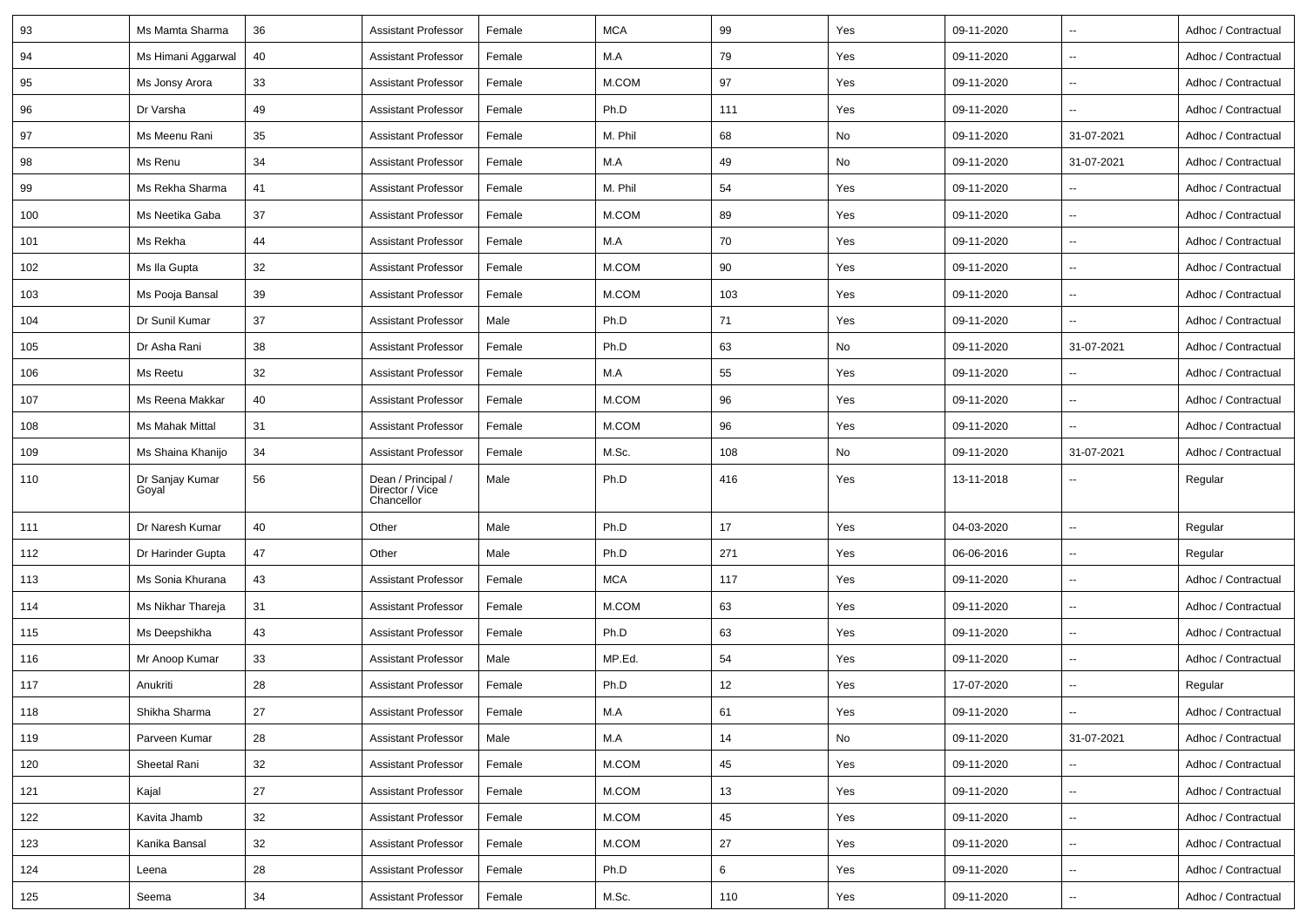| 93  | Ms Mamta Sharma          | 36 | <b>Assistant Professor</b>                          | Female | <b>MCA</b> | 99  | Yes | 09-11-2020 | $\overline{\phantom{a}}$ | Adhoc / Contractual |
|-----|--------------------------|----|-----------------------------------------------------|--------|------------|-----|-----|------------|--------------------------|---------------------|
| 94  | Ms Himani Aggarwal       | 40 | Assistant Professor                                 | Female | M.A        | 79  | Yes | 09-11-2020 | $\overline{\phantom{a}}$ | Adhoc / Contractual |
| 95  | Ms Jonsy Arora           | 33 | <b>Assistant Professor</b>                          | Female | M.COM      | 97  | Yes | 09-11-2020 | $\sim$                   | Adhoc / Contractual |
| 96  | Dr Varsha                | 49 | <b>Assistant Professor</b>                          | Female | Ph.D       | 111 | Yes | 09-11-2020 | --                       | Adhoc / Contractual |
| 97  | Ms Meenu Rani            | 35 | <b>Assistant Professor</b>                          | Female | M. Phil    | 68  | No  | 09-11-2020 | 31-07-2021               | Adhoc / Contractual |
| 98  | Ms Renu                  | 34 | <b>Assistant Professor</b>                          | Female | M.A        | 49  | No  | 09-11-2020 | 31-07-2021               | Adhoc / Contractual |
| 99  | Ms Rekha Sharma          | 41 | <b>Assistant Professor</b>                          | Female | M. Phil    | 54  | Yes | 09-11-2020 |                          | Adhoc / Contractual |
| 100 | Ms Neetika Gaba          | 37 | Assistant Professor                                 | Female | M.COM      | 89  | Yes | 09-11-2020 | ۰.                       | Adhoc / Contractual |
| 101 | Ms Rekha                 | 44 | <b>Assistant Professor</b>                          | Female | M.A        | 70  | Yes | 09-11-2020 | $\sim$                   | Adhoc / Contractual |
| 102 | Ms Ila Gupta             | 32 | <b>Assistant Professor</b>                          | Female | M.COM      | 90  | Yes | 09-11-2020 | ۰.                       | Adhoc / Contractual |
| 103 | Ms Pooja Bansal          | 39 | <b>Assistant Professor</b>                          | Female | M.COM      | 103 | Yes | 09-11-2020 |                          | Adhoc / Contractual |
| 104 | Dr Sunil Kumar           | 37 | <b>Assistant Professor</b>                          | Male   | Ph.D       | 71  | Yes | 09-11-2020 | $\overline{\phantom{a}}$ | Adhoc / Contractual |
| 105 | Dr Asha Rani             | 38 | <b>Assistant Professor</b>                          | Female | Ph.D       | 63  | No  | 09-11-2020 | 31-07-2021               | Adhoc / Contractual |
| 106 | Ms Reetu                 | 32 | <b>Assistant Professor</b>                          | Female | M.A        | 55  | Yes | 09-11-2020 | ۰.                       | Adhoc / Contractual |
| 107 | Ms Reena Makkar          | 40 | <b>Assistant Professor</b>                          | Female | M.COM      | 96  | Yes | 09-11-2020 | ۰.                       | Adhoc / Contractual |
| 108 | Ms Mahak Mittal          | 31 | <b>Assistant Professor</b>                          | Female | M.COM      | 96  | Yes | 09-11-2020 | --                       | Adhoc / Contractual |
| 109 | Ms Shaina Khanijo        | 34 | <b>Assistant Professor</b>                          | Female | M.Sc.      | 108 | No  | 09-11-2020 | 31-07-2021               | Adhoc / Contractual |
| 110 | Dr Sanjay Kumar<br>Goyal | 56 | Dean / Principal /<br>Director / Vice<br>Chancellor | Male   | Ph.D       | 416 | Yes | 13-11-2018 |                          | Regular             |
| 111 | Dr Naresh Kumar          | 40 | Other                                               | Male   | Ph.D       | 17  | Yes | 04-03-2020 |                          | Regular             |
| 112 | Dr Harinder Gupta        | 47 | Other                                               | Male   | Ph.D       | 271 | Yes | 06-06-2016 |                          | Regular             |
| 113 | Ms Sonia Khurana         | 43 | <b>Assistant Professor</b>                          | Female | <b>MCA</b> | 117 | Yes | 09-11-2020 | $\sim$                   | Adhoc / Contractual |
| 114 | Ms Nikhar Thareja        | 31 | <b>Assistant Professor</b>                          | Female | M.COM      | 63  | Yes | 09-11-2020 | $\overline{\phantom{a}}$ | Adhoc / Contractual |
| 115 | Ms Deepshikha            | 43 | <b>Assistant Professor</b>                          | Female | Ph.D       | 63  | Yes | 09-11-2020 | $\overline{\phantom{a}}$ | Adhoc / Contractual |
| 116 | Mr Anoop Kumar           | 33 | <b>Assistant Professor</b>                          | Male   | MP.Ed.     | 54  | Yes | 09-11-2020 | ۰.                       | Adhoc / Contractual |
| 117 | Anukriti                 | 28 | <b>Assistant Professor</b>                          | Female | Ph.D       | 12  | Yes | 17-07-2020 | $\overline{\phantom{a}}$ | Regular             |
| 118 | Shikha Sharma            | 27 | Assistant Professor                                 | Female | M.A        | 61  | Yes | 09-11-2020 |                          | Adhoc / Contractual |
| 119 | Parveen Kumar            | 28 | <b>Assistant Professor</b>                          | Male   | M.A        | 14  | No  | 09-11-2020 | 31-07-2021               | Adhoc / Contractual |
| 120 | Sheetal Rani             | 32 | <b>Assistant Professor</b>                          | Female | M.COM      | 45  | Yes | 09-11-2020 |                          | Adhoc / Contractual |
| 121 | Kajal                    | 27 | <b>Assistant Professor</b>                          | Female | M.COM      | 13  | Yes | 09-11-2020 | н.                       | Adhoc / Contractual |
| 122 | Kavita Jhamb             | 32 | <b>Assistant Professor</b>                          | Female | M.COM      | 45  | Yes | 09-11-2020 | $\sim$                   | Adhoc / Contractual |
| 123 | Kanika Bansal            | 32 | <b>Assistant Professor</b>                          | Female | M.COM      | 27  | Yes | 09-11-2020 | --                       | Adhoc / Contractual |
| 124 | Leena                    | 28 | <b>Assistant Professor</b>                          | Female | Ph.D       | 6   | Yes | 09-11-2020 | $\overline{\phantom{a}}$ | Adhoc / Contractual |
| 125 | Seema                    | 34 | <b>Assistant Professor</b>                          | Female | M.Sc.      | 110 | Yes | 09-11-2020 | ۰.                       | Adhoc / Contractual |